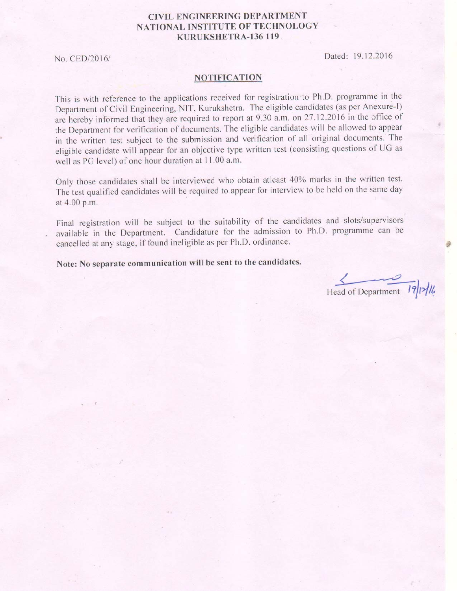## **CIVIL ENGINEERING DEPARTMENT** NATIONAL INSTITUTE OF TECHNOLOGY KURUKSHETRA-136 119

No. CED/2016/

Dated: 19.12.2016

## **NOTIFICATION**

This is with reference to the applications received for registration to Ph.D. programme in the Department of Civil Engineering, NIT, Kurukshetra. The eligible candidates (as per Anexure-I) are hereby informed that they are required to report at 9.30 a.m. on 27.12.2016 in the office of the Department for verification of documents. The eligible candidates will be allowed to appear in the written test subject to the submission and verification of all original documents. The eligible candidate will appear for an objective type written test (consisting questions of UG as well as PG level) of one hour duration at 11.00 a.m.

Only those candidates shall be interviewed who obtain atleast 40% marks in the written test. The test qualified candidates will be required to appear for interview to be held on the same day at 4.00 p.m.

Final registration will be subject to the suitability of the candidates and slots/supervisors available in the Department. Candidature for the admission to Ph.D. programme can be cancelled at any stage, if found ineligible as per Ph.D. ordinance.

Note: No separate communication will be sent to the candidates.

Head of Department 19/12/16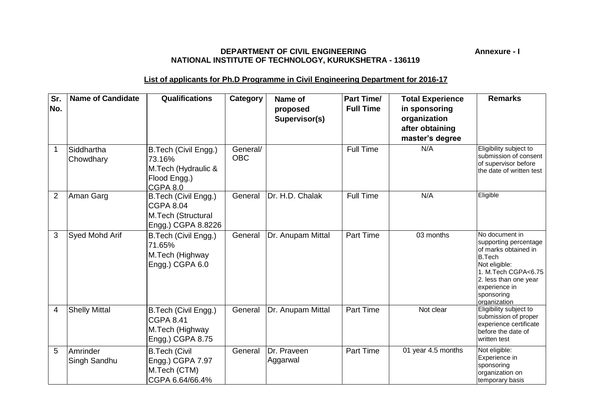## **DEPARTMENT OF CIVIL ENGINEERING Annexure - I NATIONAL INSTITUTE OF TECHNOLOGY, KURUKSHETRA - 136119**

## **List of applicants for Ph.D Programme in Civil Engineering Department for 2016-17**

| Sr.<br>No.     | <b>Name of Candidate</b> | <b>Qualifications</b>                                                                | Category               | Name of<br>proposed<br>Supervisor(s) | <b>Part Time/</b><br><b>Full Time</b> | <b>Total Experience</b><br>in sponsoring<br>organization<br>after obtaining<br>master's degree | <b>Remarks</b>                                                                                                                                                                                   |
|----------------|--------------------------|--------------------------------------------------------------------------------------|------------------------|--------------------------------------|---------------------------------------|------------------------------------------------------------------------------------------------|--------------------------------------------------------------------------------------------------------------------------------------------------------------------------------------------------|
| $\mathbf 1$    | Siddhartha<br>Chowdhary  | B.Tech (Civil Engg.)<br>73.16%<br>M.Tech (Hydraulic &<br>Flood Engg.)<br>CGPA 8.0    | General/<br><b>OBC</b> |                                      | <b>Full Time</b>                      | N/A                                                                                            | Eligibility subject to<br>submission of consent<br>of supervisor before<br>the date of written test                                                                                              |
| $\overline{2}$ | Aman Garg                | B.Tech (Civil Engg.)<br><b>CGPA 8.04</b><br>M.Tech (Structural<br>Engg.) CGPA 8.8226 | General                | Dr. H.D. Chalak                      | <b>Full Time</b>                      | N/A                                                                                            | Eligible                                                                                                                                                                                         |
| 3              | Syed Mohd Arif           | B.Tech (Civil Engg.)<br>71.65%<br>M.Tech (Highway<br>Engg.) CGPA 6.0                 | General                | Dr. Anupam Mittal                    | Part Time                             | 03 months                                                                                      | No document in<br>supporting percentage<br>of marks obtained in<br><b>B.Tech</b><br>Not eligible:<br>1. M.Tech CGPA<6.75<br>2. less than one year<br>experience in<br>sponsoring<br>organization |
| 4              | <b>Shelly Mittal</b>     | B.Tech (Civil Engg.)<br><b>CGPA 8.41</b><br>M.Tech (Highway<br>Engg.) CGPA 8.75      | General                | Dr. Anupam Mittal                    | Part Time                             | Not clear                                                                                      | Eligibility subject to<br>submission of proper<br>experience certificate<br>before the date of<br>written test                                                                                   |
| 5              | Amrinder<br>Singh Sandhu | <b>B.Tech (Civil</b><br>Engg.) CGPA 7.97<br>M.Tech (CTM)<br>CGPA 6.64/66.4%          | General                | Dr. Praveen<br>Aggarwal              | Part Time                             | 01 year 4.5 months                                                                             | Not eligible:<br>Experience in<br>sponsoring<br>organization on<br>temporary basis                                                                                                               |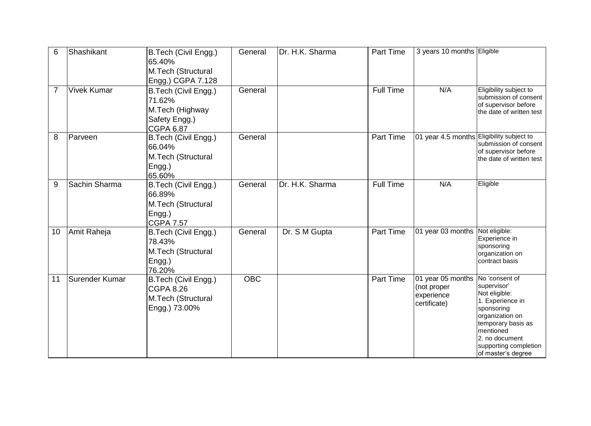| 6              | Shashikant         | B.Tech (Civil Engg.)<br>65.40%<br>M.Tech (Structural<br>Engg.) CGPA 7.128              | General          | Dr. H.K. Sharma | <b>Part Time</b> | 3 years 10 months Eligible                                     |                                                                                                                                                                                                         |
|----------------|--------------------|----------------------------------------------------------------------------------------|------------------|-----------------|------------------|----------------------------------------------------------------|---------------------------------------------------------------------------------------------------------------------------------------------------------------------------------------------------------|
| $\overline{7}$ | <b>Vivek Kumar</b> | B.Tech (Civil Engg.)<br>71.62%<br>M.Tech (Highway<br>Safety Engg.)<br><b>CGPA 6.87</b> | General          |                 | <b>Full Time</b> | N/A                                                            | Eligibility subject to<br>submission of consent<br>of supervisor before<br>the date of written test                                                                                                     |
| 8              | Parveen            | B.Tech (Civil Engg.)<br>66.04%<br>M.Tech (Structural<br>Engg.)<br>65.60%               | General          |                 | <b>Part Time</b> | 01 year 4.5 months Eligibility subject to                      | submission of consent<br>of supervisor before<br>the date of written test                                                                                                                               |
| 9              | Sachin Sharma      | B.Tech (Civil Engg.)<br>66.89%<br>M.Tech (Structural<br>Engg.)<br><b>CGPA 7.57</b>     | General          | Dr. H.K. Sharma | <b>Full Time</b> | N/A                                                            | Eligible                                                                                                                                                                                                |
| 10             | Amit Raheja        | B.Tech (Civil Engg.)<br>78.43%<br>M.Tech (Structural<br>Engg.)<br>76.20%               | General          | Dr. S M Gupta   | <b>Part Time</b> | 01 year 03 months                                              | Not eligible:<br>Experience in<br>sponsoring<br>organization on<br>contract basis                                                                                                                       |
| 11             | Surender Kumar     | B.Tech (Civil Engg.)<br><b>CGPA 8.26</b><br>M.Tech (Structural<br>Engg.) 73.00%        | $\overline{OBC}$ |                 | <b>Part Time</b> | 01 year 05 months<br>(not proper<br>experience<br>certificate) | No 'consent of<br>supervisor'<br>Not eligible:<br>1. Experience in<br>sponsoring<br>organization on<br>temporary basis as<br>mentioned<br>2. no document<br>supporting completion<br>of master's degree |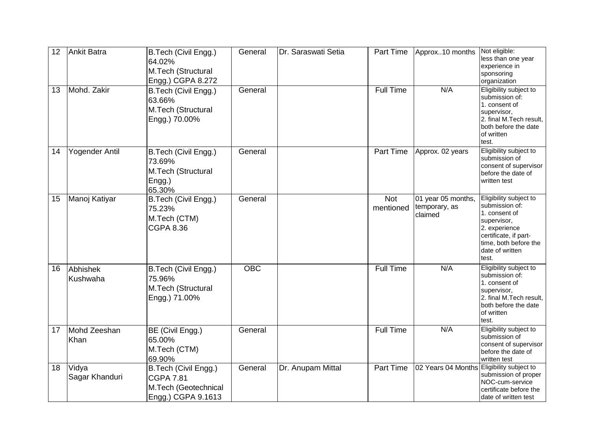| 12 | Ankit Batra             | B.Tech (Civil Engg.)<br>64.02%<br>M.Tech (Structural<br>Engg.) CGPA 8.272              | General    | Dr. Saraswati Setia | <b>Part Time</b>        | Approx10 months                                | Not eligible:<br>less than one year<br>experience in<br>sponsoring<br>organization                                                                                      |
|----|-------------------------|----------------------------------------------------------------------------------------|------------|---------------------|-------------------------|------------------------------------------------|-------------------------------------------------------------------------------------------------------------------------------------------------------------------------|
| 13 | Mohd. Zakir             | B.Tech (Civil Engg.)<br>63.66%<br>M.Tech (Structural<br>Engg.) 70.00%                  | General    |                     | <b>Full Time</b>        | N/A                                            | Eligibility subject to<br>submission of:<br>1. consent of<br>supervisor,<br>2. final M.Tech result,<br>both before the date<br>of written<br>test.                      |
| 14 | <b>Yogender Antil</b>   | B.Tech (Civil Engg.)<br>73.69%<br>M.Tech (Structural<br>Engg.)<br>65.30%               | General    |                     | <b>Part Time</b>        | Approx. 02 years                               | Eligibility subject to<br>submission of<br>consent of supervisor<br>before the date of<br>written test                                                                  |
| 15 | Manoj Katiyar           | B.Tech (Civil Engg.)<br>75.23%<br>M.Tech (CTM)<br><b>CGPA 8.36</b>                     | General    |                     | <b>Not</b><br>mentioned | 01 year 05 months,<br>temporary, as<br>claimed | Eligibility subject to<br>submission of:<br>1. consent of<br>supervisor,<br>2. experience<br>certificate, if part-<br>time, both before the<br>date of written<br>test. |
| 16 | Abhishek<br>Kushwaha    | B.Tech (Civil Engg.)<br>75.96%<br>M.Tech (Structural<br>Engg.) 71.00%                  | <b>OBC</b> |                     | <b>Full Time</b>        | N/A                                            | Eligibility subject to<br>submission of:<br>1. consent of<br>supervisor,<br>2. final M.Tech result,<br>both before the date<br>of written<br>test.                      |
| 17 | Mohd Zeeshan<br>Khan    | BE (Civil Engg.)<br>65.00%<br>M.Tech (CTM)<br>69.90%                                   | General    |                     | <b>Full Time</b>        | N/A                                            | Eligibility subject to<br>submission of<br>consent of supervisor<br>before the date of<br>written test                                                                  |
| 18 | Vidya<br>Sagar Khanduri | B.Tech (Civil Engg.)<br><b>CGPA 7.81</b><br>M.Tech (Geotechnical<br>Engg.) CGPA 9.1613 | General    | Dr. Anupam Mittal   | Part Time               | 02 Years 04 Months                             | Eligibility subject to<br>submission of proper<br>NOC-cum-service<br>certificate before the<br>date of written test                                                     |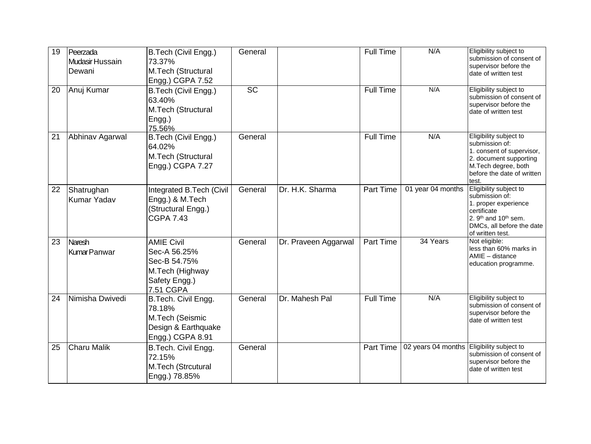| 19 | Peerzada<br>Mudasir Hussain<br>Dewani | B.Tech (Civil Engg.)<br>73.37%<br>M.Tech (Structural<br>Engg.) CGPA 7.52                           | General   |                      | Full Time        | N/A                                       | Eligibility subject to<br>submission of consent of<br>supervisor before the<br>date of written test                                                                              |
|----|---------------------------------------|----------------------------------------------------------------------------------------------------|-----------|----------------------|------------------|-------------------------------------------|----------------------------------------------------------------------------------------------------------------------------------------------------------------------------------|
| 20 | Anuj Kumar                            | B.Tech (Civil Engg.)<br>63.40%<br>M.Tech (Structural<br>Engg.)<br>75.56%                           | <b>SC</b> |                      | <b>Full Time</b> | N/A                                       | Eligibility subject to<br>submission of consent of<br>supervisor before the<br>date of written test                                                                              |
| 21 | Abhinav Agarwal                       | B.Tech (Civil Engg.)<br>64.02%<br>M.Tech (Structural<br>Engg.) CGPA 7.27                           | General   |                      | <b>Full Time</b> | N/A                                       | Eligibility subject to<br>submission of:<br>1. consent of supervisor,<br>2. document supporting<br>M.Tech degree, both<br>before the date of written<br>test.                    |
| 22 | Shatrughan<br><b>Kumar Yadav</b>      | Integrated B.Tech (Civil<br>Engg.) & M.Tech<br>(Structural Engg.)<br><b>CGPA 7.43</b>              | General   | Dr. H.K. Sharma      | <b>Part Time</b> | 01 year 04 months                         | Eligibility subject to<br>submission of:<br>1. proper experience<br>certificate<br>2. 9 <sup>th</sup> and 10 <sup>th</sup> sem.<br>DMCs, all before the date<br>of written test. |
| 23 | <b>Naresh</b><br>KumarPanwar          | <b>AMIE Civil</b><br>Sec-A 56.25%<br>Sec-B 54.75%<br>M.Tech (Highway<br>Safety Engg.)<br>7.51 CGPA | General   | Dr. Praveen Aggarwal | Part Time        | 34 Years                                  | Not eligible:<br>less than 60% marks in<br>AMIE - distance<br>education programme.                                                                                               |
| 24 | Nimisha Dwivedi                       | B.Tech. Civil Engg.<br>78.18%<br>M.Tech (Seismic<br>Design & Earthquake<br>Engg.) CGPA 8.91        | General   | Dr. Mahesh Pal       | <b>Full Time</b> | N/A                                       | Eligibility subject to<br>submission of consent of<br>supervisor before the<br>date of written test                                                                              |
| 25 | <b>Charu Malik</b>                    | B.Tech. Civil Engg.<br>72.15%<br>M.Tech (Strcutural<br>Engg.) 78.85%                               | General   |                      | Part Time        | 02 years 04 months Eligibility subject to | submission of consent of<br>supervisor before the<br>date of written test                                                                                                        |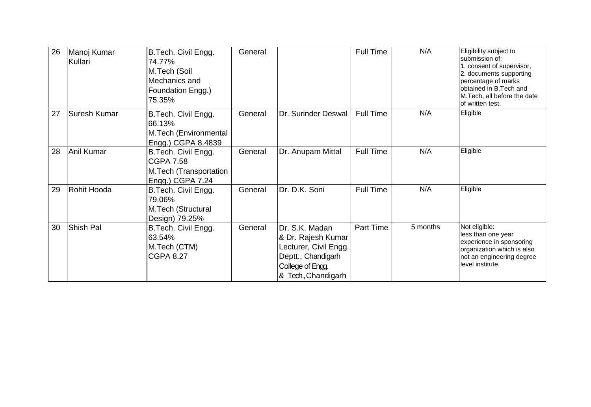| 26 | Manoj Kumar<br>Kullari | B.Tech. Civil Engg.<br>74.77%<br>M.Tech (Soil<br>Mechanics and<br>Foundation Engg.)<br>75.35% | General |                                                                                                                                 | <b>Full Time</b> | N/A      | Eligibility subject to<br>submission of:<br>1. consent of supervisor,<br>2. documents supporting<br>percentage of marks<br>obtained in B.Tech and<br>M.Tech, all before the date<br>of written test. |
|----|------------------------|-----------------------------------------------------------------------------------------------|---------|---------------------------------------------------------------------------------------------------------------------------------|------------------|----------|------------------------------------------------------------------------------------------------------------------------------------------------------------------------------------------------------|
| 27 | <b>Suresh Kumar</b>    | B.Tech. Civil Engg.<br>66.13%<br>M.Tech (Environmental<br>Engg.) CGPA 8.4839                  | General | Dr. Surinder Deswal                                                                                                             | <b>Full Time</b> | N/A      | Eligible                                                                                                                                                                                             |
| 28 | Anil Kumar             | B.Tech. Civil Engg.<br><b>CGPA 7.58</b><br>M.Tech (Transportation<br>Engg.) CGPA 7.24         | General | Dr. Anupam Mittal                                                                                                               | <b>Full Time</b> | N/A      | Eligible                                                                                                                                                                                             |
| 29 | Rohit Hooda            | B.Tech. Civil Engg.<br>79.06%<br>M.Tech (Structural<br>Design) 79.25%                         | General | Dr. D.K. Soni                                                                                                                   | <b>Full Time</b> | N/A      | Eligible                                                                                                                                                                                             |
| 30 | <b>Shish Pal</b>       | B.Tech. Civil Engg.<br>63.54%<br>M.Tech (CTM)<br><b>CGPA 8.27</b>                             | General | Dr. S.K. Madan<br>& Dr. Rajesh Kumar<br>Lecturer, Civil Engg.<br>Deptt., Chandigarh<br>College of Engg.<br>8. Tech., Chandigarh | Part Time        | 5 months | Not eligible:<br>less than one year<br>experience in sponsoring<br>organization which is also<br>not an engineering degree<br>level institute.                                                       |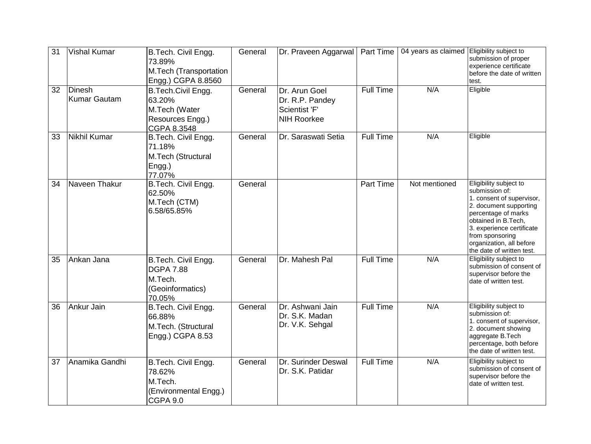| 31 | <b>Vishal Kumar</b>                  | B.Tech. Civil Engg.<br>73.89%<br>M.Tech (Transportation<br>Engg.) CGPA 8.8560        | General | Dr. Praveen Aggarwal                                                    | <b>Part Time</b> | 04 years as claimed Eligibility subject to | submission of proper<br>experience certificate<br>before the date of written<br>test.                                                                                                                                                                  |
|----|--------------------------------------|--------------------------------------------------------------------------------------|---------|-------------------------------------------------------------------------|------------------|--------------------------------------------|--------------------------------------------------------------------------------------------------------------------------------------------------------------------------------------------------------------------------------------------------------|
| 32 | <b>Dinesh</b><br><b>Kumar Gautam</b> | B.Tech.Civil Engg.<br>63.20%<br>M.Tech (Water<br>Resources Engg.)<br>CGPA 8.3548     | General | Dr. Arun Goel<br>Dr. R.P. Pandey<br>Scientist 'F'<br><b>NIH Roorkee</b> | <b>Full Time</b> | N/A                                        | Eligible                                                                                                                                                                                                                                               |
| 33 | Nikhil Kumar                         | B.Tech. Civil Engg.<br>71.18%<br>M.Tech (Structural<br>Engg.)<br>77.07%              | General | Dr. Saraswati Setia                                                     | <b>Full Time</b> | N/A                                        | Eligible                                                                                                                                                                                                                                               |
| 34 | Naveen Thakur                        | B.Tech. Civil Engg.<br>62.50%<br>M.Tech (CTM)<br>6.58/65.85%                         | General |                                                                         | Part Time        | Not mentioned                              | Eligibility subject to<br>submission of:<br>1. consent of supervisor,<br>2. document supporting<br>percentage of marks<br>obtained in B.Tech,<br>3. experience certificate<br>from sponsoring<br>organization, all before<br>the date of written test. |
| 35 | Ankan Jana                           | B.Tech. Civil Engg.<br><b>DGPA 7.88</b><br>M.Tech.<br>(Geoinformatics)<br>70.05%     | General | Dr. Mahesh Pal                                                          | <b>Full Time</b> | N/A                                        | Eligibility subject to<br>submission of consent of<br>supervisor before the<br>date of written test.                                                                                                                                                   |
| 36 | Ankur Jain                           | B.Tech. Civil Engg.<br>66.88%<br>M.Tech. (Structural<br>Engg.) CGPA 8.53             | General | Dr. Ashwani Jain<br>Dr. S.K. Madan<br>Dr. V.K. Sehgal                   | <b>Full Time</b> | N/A                                        | Eligibility subject to<br>submission of:<br>1. consent of supervisor,<br>2. document showing<br>aggregate B.Tech<br>percentage, both before<br>the date of written test.                                                                               |
| 37 | Anamika Gandhi                       | B.Tech. Civil Engg.<br>78.62%<br>M.Tech.<br>(Environmental Engg.)<br><b>CGPA 9.0</b> | General | Dr. Surinder Deswal<br>Dr. S.K. Patidar                                 | <b>Full Time</b> | N/A                                        | Eligibility subject to<br>submission of consent of<br>supervisor before the<br>date of written test.                                                                                                                                                   |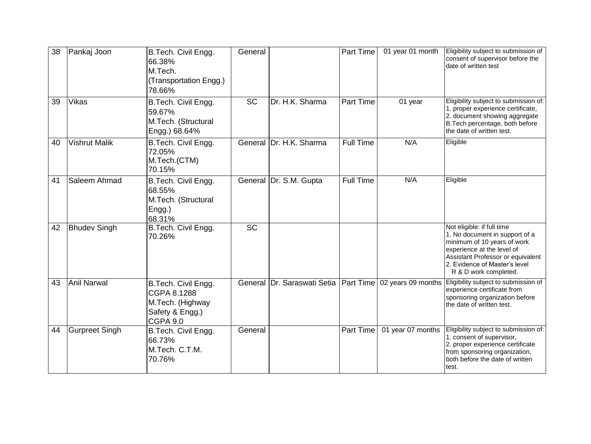| 38 | Pankaj Joon           | B.Tech. Civil Engg.<br>66.38%<br>M.Tech.<br>(Transportation Engg.)<br>78.66%                 | General   |                                         | Part Time        | 01 year 01 month   | Eligibility subject to submission of<br>consent of supervisor before the<br>date of written test                                                                                                                         |
|----|-----------------------|----------------------------------------------------------------------------------------------|-----------|-----------------------------------------|------------------|--------------------|--------------------------------------------------------------------------------------------------------------------------------------------------------------------------------------------------------------------------|
| 39 | <b>Vikas</b>          | B.Tech. Civil Engg.<br>59.67%<br>M.Tech. (Structural<br>Engg.) 68.64%                        | <b>SC</b> | Dr. H.K. Sharma                         | <b>Part Time</b> | 01 year            | Eligibility subject to submission of:<br>1. proper experience certificate,<br>2. document showing aggregate<br>B. Tech percentage, both before<br>the date of written test.                                              |
| 40 | <b>Vishrut Malik</b>  | B.Tech. Civil Engg.<br>72.05%<br>M.Tech.(CTM)<br>70.15%                                      |           | General Dr. H.K. Sharma                 | <b>Full Time</b> | N/A                | Eligible                                                                                                                                                                                                                 |
| 41 | Saleem Ahmad          | B.Tech. Civil Engg.<br>68.55%<br>M.Tech. (Structural<br>Engg.)<br>68.31%                     |           | General Dr. S.M. Gupta                  | <b>Full Time</b> | N/A                | Eligible                                                                                                                                                                                                                 |
| 42 | <b>Bhudev Singh</b>   | B.Tech. Civil Engg.<br>70.26%                                                                | <b>SC</b> |                                         |                  |                    | Not eligible: if full time<br>1. No document in support of a<br>minimum of 10 years of work<br>experience at the level of<br>Assistant Professor or equivalent<br>2. Evidence of Master's level<br>R & D work completed. |
| 43 | <b>Anil Narwal</b>    | B.Tech. Civil Engg.<br>CGPA 8.1288<br>M.Tech. (Highway<br>Safety & Engg.)<br><b>CGPA 9.0</b> |           | General Dr. Saraswati Setia   Part Time |                  | 02 years 09 months | Eligibility subject to submission of<br>experience certificate from<br>sponsoring organization before<br>the date of written test.                                                                                       |
| 44 | <b>Gurpreet Singh</b> | B.Tech. Civil Engg.<br>66.73%<br>M.Tech. C.T.M.<br>70.76%                                    | General   |                                         | Part Time        | 01 year 07 months  | Eligibility subject to submission of:<br>1. consent of supervisor,<br>2. proper experience certificate<br>from sponsoring organization,<br>both before the date of written<br>test.                                      |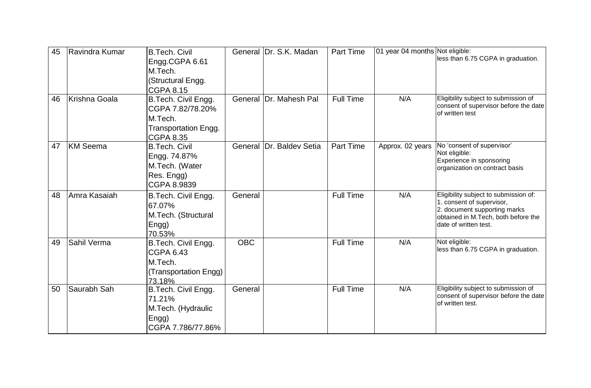| 45 | Ravindra Kumar  | <b>B.Tech. Civil</b><br>Engg.CGPA 6.61<br>M.Tech.<br>(Structural Engg.<br><b>CGPA 8.15</b>            |            | General Dr. S.K. Madan | <b>Part Time</b> | 01 year 04 months Not eligible: | less than 6.75 CGPA in graduation.                                                                                                                                 |
|----|-----------------|-------------------------------------------------------------------------------------------------------|------------|------------------------|------------------|---------------------------------|--------------------------------------------------------------------------------------------------------------------------------------------------------------------|
| 46 | Krishna Goala   | B.Tech. Civil Engg.<br>CGPA 7.82/78.20%<br>M.Tech.<br><b>Transportation Engg.</b><br><b>CGPA 8.35</b> |            | General Dr. Mahesh Pal | <b>Full Time</b> | N/A                             | Eligibility subject to submission of<br>consent of supervisor before the date<br>of written test                                                                   |
| 47 | <b>KM</b> Seema | <b>B.Tech. Civil</b><br>Engg. 74.87%<br>M.Tech. (Water<br>Res. Engg)<br>CGPA 8.9839                   | General    | Dr. Baldev Setia       | <b>Part Time</b> | Approx. 02 years                | No 'consent of supervisor'<br>Not eligible:<br>Experience in sponsoring<br>organization on contract basis                                                          |
| 48 | Amra Kasaiah    | B.Tech. Civil Engg.<br>67.07%<br>M.Tech. (Structural<br>Engg)<br>70.53%                               | General    |                        | <b>Full Time</b> | N/A                             | Eligibility subject to submission of:<br>1. consent of supervisor,<br>2. document supporting marks<br>obtained in M.Tech, both before the<br>date of written test. |
| 49 | Sahil Verma     | B.Tech. Civil Engg.<br>CGPA 6.43<br>M.Tech.<br>(Transportation Engg)<br>73.18%                        | <b>OBC</b> |                        | <b>Full Time</b> | N/A                             | Not eligible:<br>less than 6.75 CGPA in graduation.                                                                                                                |
| 50 | Saurabh Sah     | B.Tech. Civil Engg.<br>71.21%<br>M.Tech. (Hydraulic<br>Engg)<br>CGPA 7.786/77.86%                     | General    |                        | <b>Full Time</b> | N/A                             | Eligibility subject to submission of<br>consent of supervisor before the date<br>of written test.                                                                  |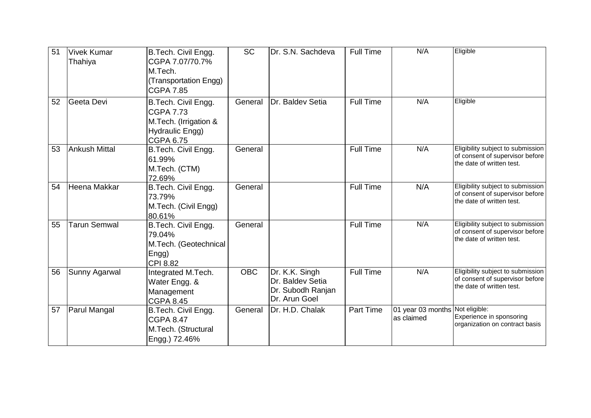| 51 | <b>Vivek Kumar</b><br>Thahiya | B.Tech. Civil Engg.<br>CGPA 7.07/70.7%<br>M.Tech.<br>(Transportation Engg)<br><b>CGPA 7.85</b>          | <b>SC</b>  | Dr. S.N. Sachdeva                                                        | <b>Full Time</b> | N/A                                           | Eligible                                                                                          |
|----|-------------------------------|---------------------------------------------------------------------------------------------------------|------------|--------------------------------------------------------------------------|------------------|-----------------------------------------------|---------------------------------------------------------------------------------------------------|
| 52 | Geeta Devi                    | B.Tech. Civil Engg.<br><b>CGPA 7.73</b><br>M.Tech. (Irrigation &<br>Hydraulic Engg)<br><b>CGPA 6.75</b> | General    | Dr. Baldev Setia                                                         | <b>Full Time</b> | N/A                                           | Eligible                                                                                          |
| 53 | Ankush Mittal                 | B.Tech. Civil Engg.<br>61.99%<br>M.Tech. (CTM)<br>72.69%                                                | General    |                                                                          | <b>Full Time</b> | N/A                                           | Eligibility subject to submission<br>of consent of supervisor before<br>the date of written test. |
| 54 | Heena Makkar                  | B.Tech. Civil Engg.<br>73.79%<br>M.Tech. (Civil Engg)<br>80.61%                                         | General    |                                                                          | <b>Full Time</b> | N/A                                           | Eligibility subject to submission<br>of consent of supervisor before<br>the date of written test. |
| 55 | <b>Tarun Semwal</b>           | B.Tech. Civil Engg.<br>79.04%<br>M.Tech. (Geotechnical<br>Engg)<br><b>CPI 8.82</b>                      | General    |                                                                          | <b>Full Time</b> | N/A                                           | Eligibility subject to submission<br>of consent of supervisor before<br>the date of written test. |
| 56 | Sunny Agarwal                 | Integrated M.Tech.<br>Water Engg. &<br>Management<br><b>CGPA 8.45</b>                                   | <b>OBC</b> | Dr. K.K. Singh<br>Dr. Baldev Setia<br>Dr. Subodh Ranjan<br>Dr. Arun Goel | <b>Full Time</b> | N/A                                           | Eligibility subject to submission<br>of consent of supervisor before<br>the date of written test. |
| 57 | <b>Parul Mangal</b>           | B.Tech. Civil Engg.<br><b>CGPA 8.47</b><br>M.Tech. (Structural<br>Engg.) 72.46%                         | General    | Dr. H.D. Chalak                                                          | <b>Part Time</b> | 01 year 03 months Not eligible:<br>as claimed | Experience in sponsoring<br>organization on contract basis                                        |